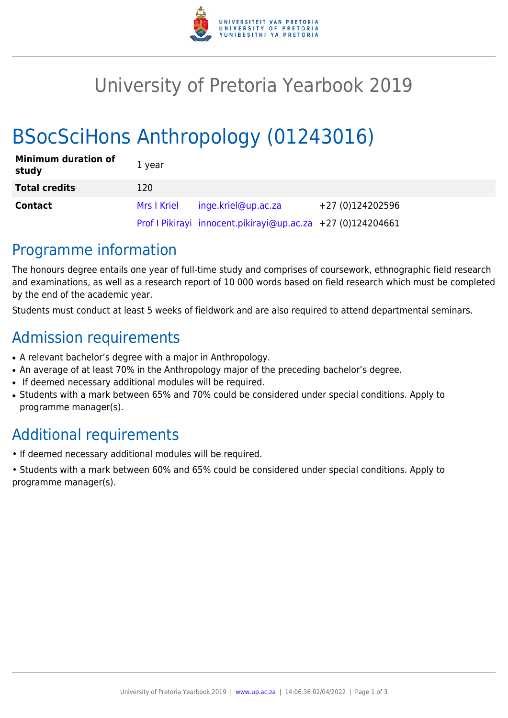

## University of Pretoria Yearbook 2019

# BSocSciHons Anthropology (01243016)

| <b>Minimum duration of</b><br>study | 1 year      |                                                             |                  |
|-------------------------------------|-------------|-------------------------------------------------------------|------------------|
| <b>Total credits</b>                | 120         |                                                             |                  |
| <b>Contact</b>                      | Mrs I Kriel | inge.kriel@up.ac.za                                         | +27 (0)124202596 |
|                                     |             | Prof I Pikirayi innocent.pikirayi@up.ac.za +27 (0)124204661 |                  |

### Programme information

The honours degree entails one year of full-time study and comprises of coursework, ethnographic field research and examinations, as well as a research report of 10 000 words based on field research which must be completed by the end of the academic year.

Students must conduct at least 5 weeks of fieldwork and are also required to attend departmental seminars.

### Admission requirements

- A relevant bachelor's degree with a major in Anthropology.
- An average of at least 70% in the Anthropology major of the preceding bachelor's degree.
- If deemed necessary additional modules will be required.
- Students with a mark between 65% and 70% could be considered under special conditions. Apply to programme manager(s).

## Additional requirements

- If deemed necessary additional modules will be required.
- Students with a mark between 60% and 65% could be considered under special conditions. Apply to programme manager(s).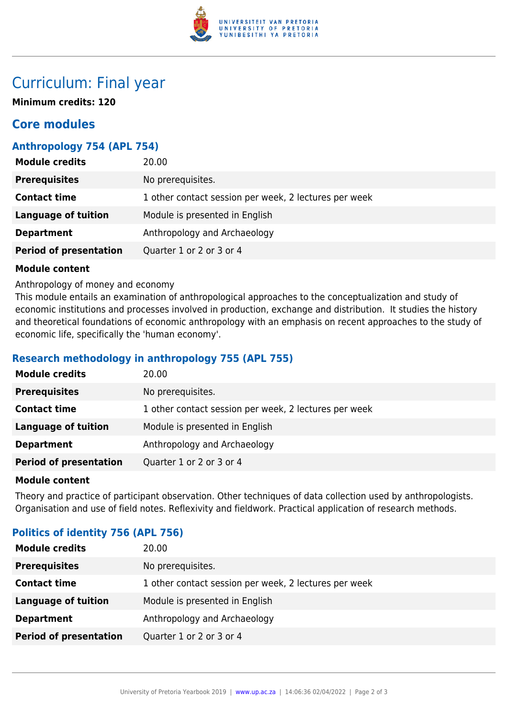

### Curriculum: Final year

**Minimum credits: 120**

### **Core modules**

#### **Anthropology 754 (APL 754)**

| <b>Module credits</b>         | 20.00                                                 |
|-------------------------------|-------------------------------------------------------|
| <b>Prerequisites</b>          | No prerequisites.                                     |
| <b>Contact time</b>           | 1 other contact session per week, 2 lectures per week |
| <b>Language of tuition</b>    | Module is presented in English                        |
| <b>Department</b>             | Anthropology and Archaeology                          |
| <b>Period of presentation</b> | Quarter 1 or 2 or 3 or 4                              |

#### **Module content**

Anthropology of money and economy

This module entails an examination of anthropological approaches to the conceptualization and study of economic institutions and processes involved in production, exchange and distribution. It studies the history and theoretical foundations of economic anthropology with an emphasis on recent approaches to the study of economic life, specifically the 'human economy'.

#### **Research methodology in anthropology 755 (APL 755)**

| <b>Module credits</b>         | 20.00                                                 |
|-------------------------------|-------------------------------------------------------|
| <b>Prerequisites</b>          | No prerequisites.                                     |
| <b>Contact time</b>           | 1 other contact session per week, 2 lectures per week |
| <b>Language of tuition</b>    | Module is presented in English                        |
| <b>Department</b>             | Anthropology and Archaeology                          |
| <b>Period of presentation</b> | Quarter 1 or 2 or 3 or 4                              |

#### **Module content**

Theory and practice of participant observation. Other techniques of data collection used by anthropologists. Organisation and use of field notes. Reflexivity and fieldwork. Practical application of research methods.

| <b>POLITICS OF IGENTITY 756 (APL 756)</b> |                                                       |  |
|-------------------------------------------|-------------------------------------------------------|--|
| <b>Module credits</b>                     | 20.00                                                 |  |
| <b>Prerequisites</b>                      | No prerequisites.                                     |  |
| <b>Contact time</b>                       | 1 other contact session per week, 2 lectures per week |  |
| <b>Language of tuition</b>                | Module is presented in English                        |  |
| <b>Department</b>                         | Anthropology and Archaeology                          |  |
| <b>Period of presentation</b>             | Quarter 1 or 2 or 3 or 4                              |  |
|                                           |                                                       |  |

#### **Politics of identity 756 (APL 756)**